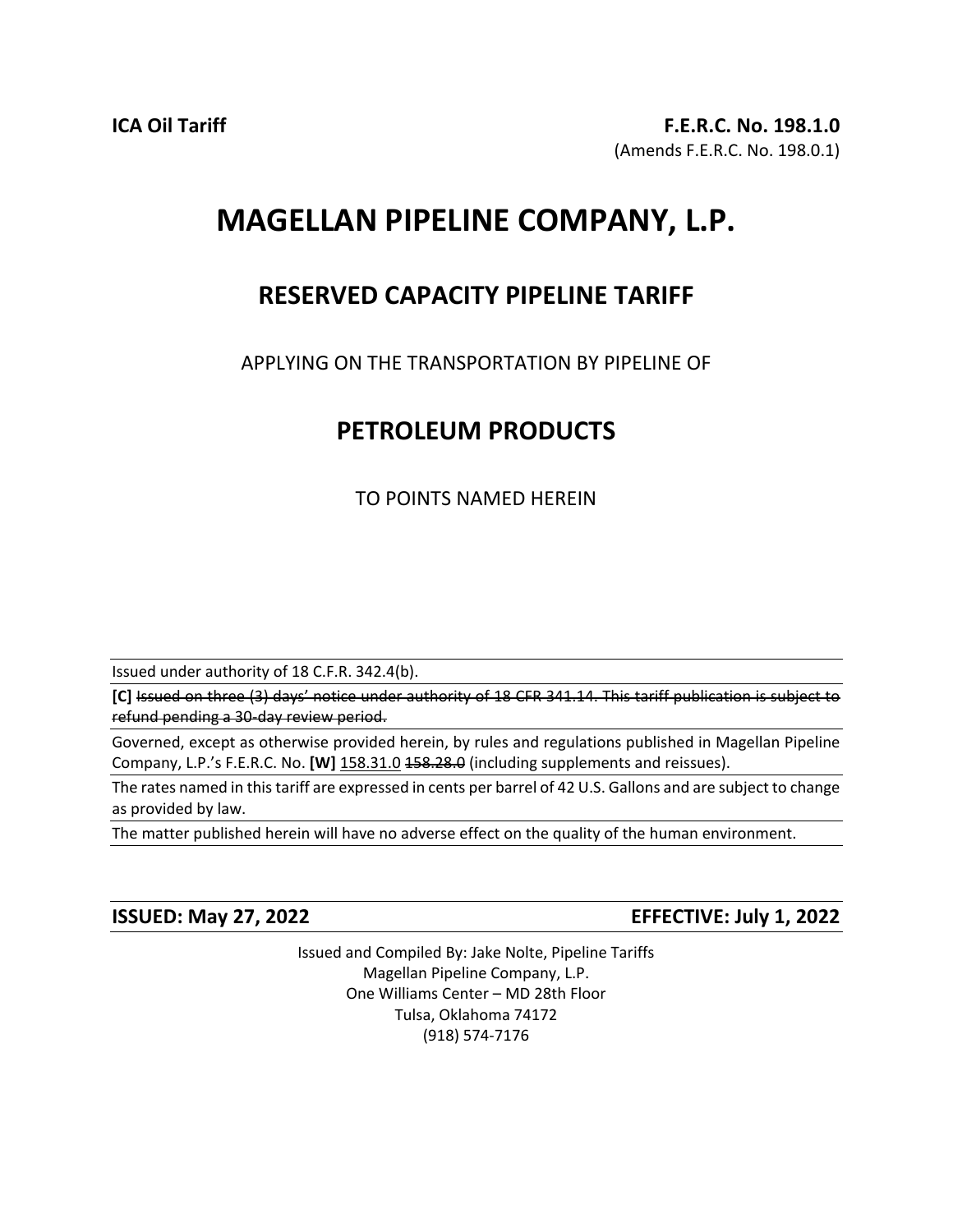# **MAGELLAN PIPELINE COMPANY, L.P.**

## **RESERVED CAPACITY PIPELINE TARIFF**

APPLYING ON THE TRANSPORTATION BY PIPELINE OF

## **PETROLEUM PRODUCTS**

TO POINTS NAMED HEREIN

Issued under authority of 18 C.F.R. 342.4(b).

**[C]** Issued on three (3) days' notice under authority of 18 CFR 341.14. This tariff publication is subject to refund pending a 30-day review period.

Governed, except as otherwise provided herein, by rules and regulations published in Magellan Pipeline Company, L.P.'s F.E.R.C. No. **[W]** 158.31.0 158.28.0 (including supplements and reissues).

The rates named in this tariff are expressed in cents per barrel of 42 U.S. Gallons and are subject to change as provided by law.

The matter published herein will have no adverse effect on the quality of the human environment.

**ISSUED: May 27, 2022 EFFECTIVE: July 1, 2022**

Issued and Compiled By: Jake Nolte, Pipeline Tariffs Magellan Pipeline Company, L.P. One Williams Center – MD 28th Floor Tulsa, Oklahoma 74172 (918) 574-7176